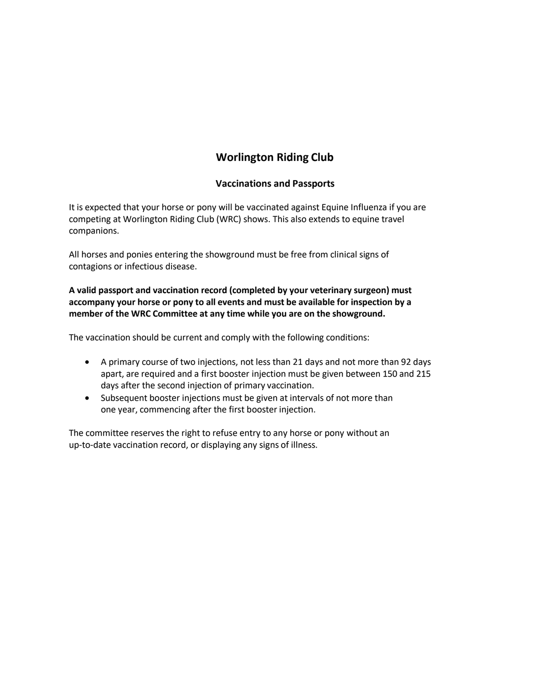# **Worlington Riding Club**

### **Vaccinations and Passports**

It is expected that your horse or pony will be vaccinated against Equine Influenza if you are competing at Worlington Riding Club (WRC) shows. This also extends to equine travel companions.

All horses and ponies entering the showground must be free from clinical signs of contagions or infectious disease.

**A valid passport and vaccination record (completed by your veterinary surgeon) must accompany your horse or pony to all events and must be available for inspection by a member of the WRC Committee at any time while you are on the showground.**

The vaccination should be current and comply with the following conditions:

- A primary course of two injections, not less than 21 days and not more than 92 days apart, are required and a first booster injection must be given between 150 and 215 days after the second injection of primary vaccination.
- Subsequent booster injections must be given at intervals of not more than one year, commencing after the first booster injection.

The committee reserves the right to refuse entry to any horse or pony without an up-to-date vaccination record, or displaying any signs of illness.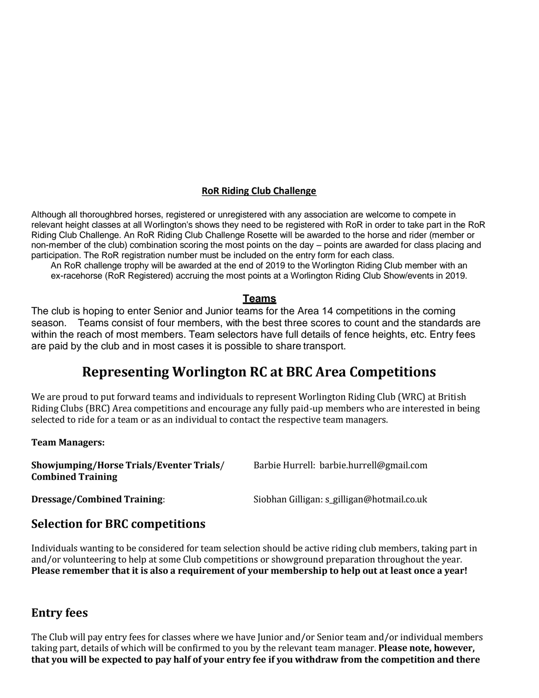### **RoR Riding Club Challenge**

Although all thoroughbred horses, registered or unregistered with any association are welcome to compete in relevant height classes at all Worlington's shows they need to be registered with RoR in order to take part in the RoR Riding Club Challenge. An RoR Riding Club Challenge Rosette will be awarded to the horse and rider (member or non-member of the club) combination scoring the most points on the day – points are awarded for class placing and participation. The RoR registration number must be included on the entry form for each class.

An RoR challenge trophy will be awarded at the end of 2019 to the Worlington Riding Club member with an ex-racehorse (RoR Registered) accruing the most points at a Worlington Riding Club Show/events in 2019.

### **Teams**

The club is hoping to enter Senior and Junior teams for the Area 14 competitions in the coming season. Teams consist of four members, with the best three scores to count and the standards are within the reach of most members. Team selectors have full details of fence heights, etc. Entry fees are paid by the club and in most cases it is possible to share transport.

# **Representing Worlington RC at BRC Area Competitions**

We are proud to put forward teams and individuals to represent Worlington Riding Club (WRC) at British Riding Clubs (BRC) Area competitions and encourage any fully paid-up members who are interested in being selected to ride for a team or as an individual to contact the respective team managers.

#### **Team Managers:**

| Showjumping/Horse Trials/Eventer Trials/<br><b>Combined Training</b> | Barbie Hurrell: barbie.hurrell@gmail.com   |
|----------------------------------------------------------------------|--------------------------------------------|
| <b>Dressage/Combined Training:</b>                                   | Siobhan Gilligan: s_gilligan@hotmail.co.uk |

# **Selection for BRC competitions**

Individuals wanting to be considered for team selection should be active riding club members, taking part in and/or volunteering to help at some Club competitions or showground preparation throughout the year. **Please remember that it is also a requirement of your membership to help out at least once a year!**

## **Entry fees**

The Club will pay entry fees for classes where we have Junior and/or Senior team and/or individual members taking part, details of which will be confirmed to you by the relevant team manager. **Please note, however, that you will be expected to pay half of your entry fee if you withdraw from the competition and there**